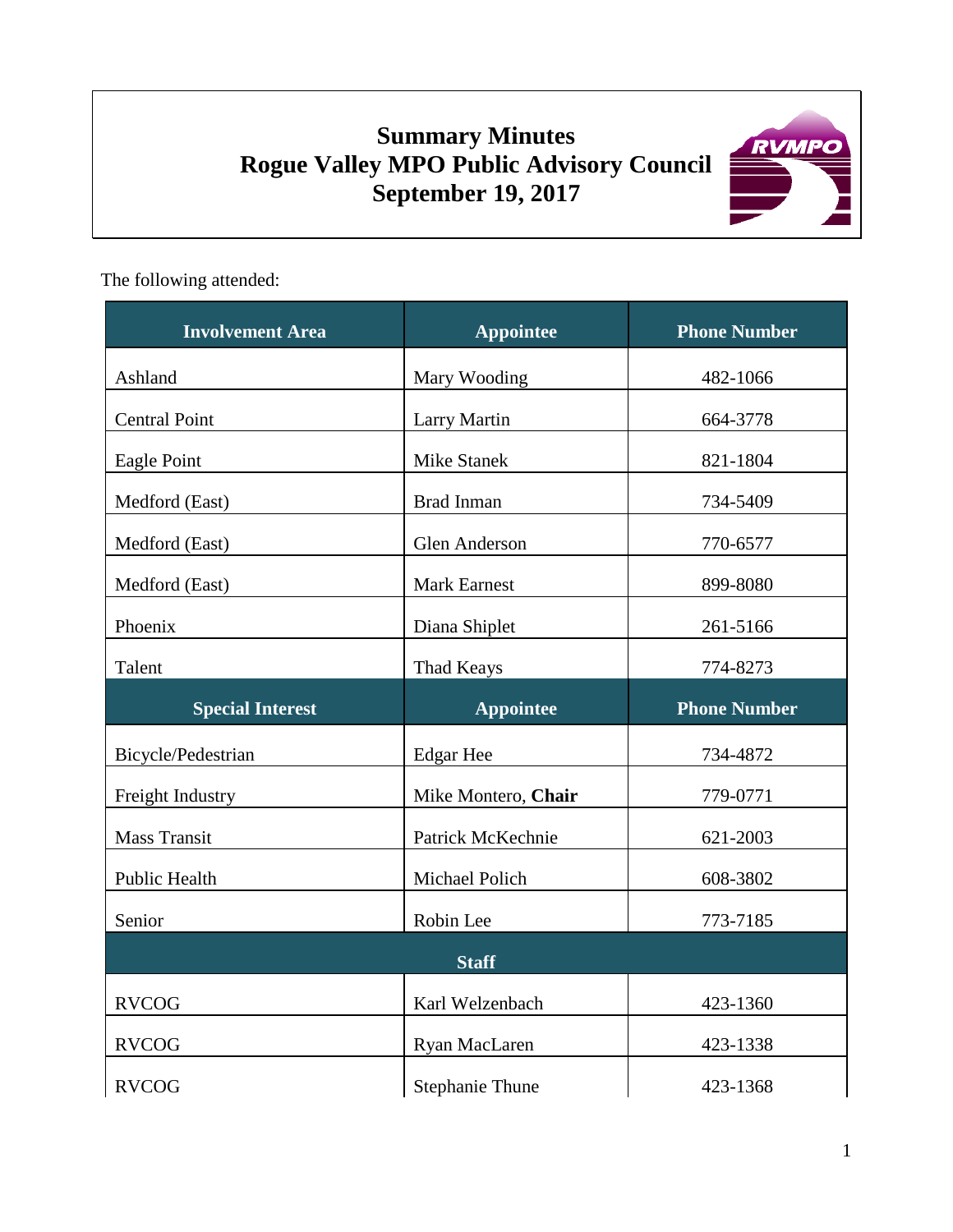# **Summary Minutes Rogue Valley MPO Public Advisory Council September 19, 2017**



The following attended:

| <b>Involvement Area</b> | <b>Appointee</b>       | <b>Phone Number</b> |
|-------------------------|------------------------|---------------------|
| Ashland                 | Mary Wooding           | 482-1066            |
| <b>Central Point</b>    | <b>Larry Martin</b>    | 664-3778            |
| Eagle Point             | <b>Mike Stanek</b>     | 821-1804            |
| Medford (East)          | <b>Brad Inman</b>      | 734-5409            |
| Medford (East)          | Glen Anderson          | 770-6577            |
| Medford (East)          | Mark Earnest           | 899-8080            |
| Phoenix                 | Diana Shiplet          | 261-5166            |
| Talent                  | Thad Keays             | 774-8273            |
| <b>Special Interest</b> | <b>Appointee</b>       | <b>Phone Number</b> |
| Bicycle/Pedestrian      | <b>Edgar Hee</b>       | 734-4872            |
| Freight Industry        | Mike Montero, Chair    | 779-0771            |
| <b>Mass Transit</b>     | Patrick McKechnie      | 621-2003            |
| Public Health           | Michael Polich         | 608-3802            |
| Senior                  | Robin Lee              | 773-7185            |
| <b>Staff</b>            |                        |                     |
| <b>RVCOG</b>            | Karl Welzenbach        | 423-1360            |
| <b>RVCOG</b>            | Ryan MacLaren          | 423-1338            |
| <b>RVCOG</b>            | <b>Stephanie Thune</b> | 423-1368            |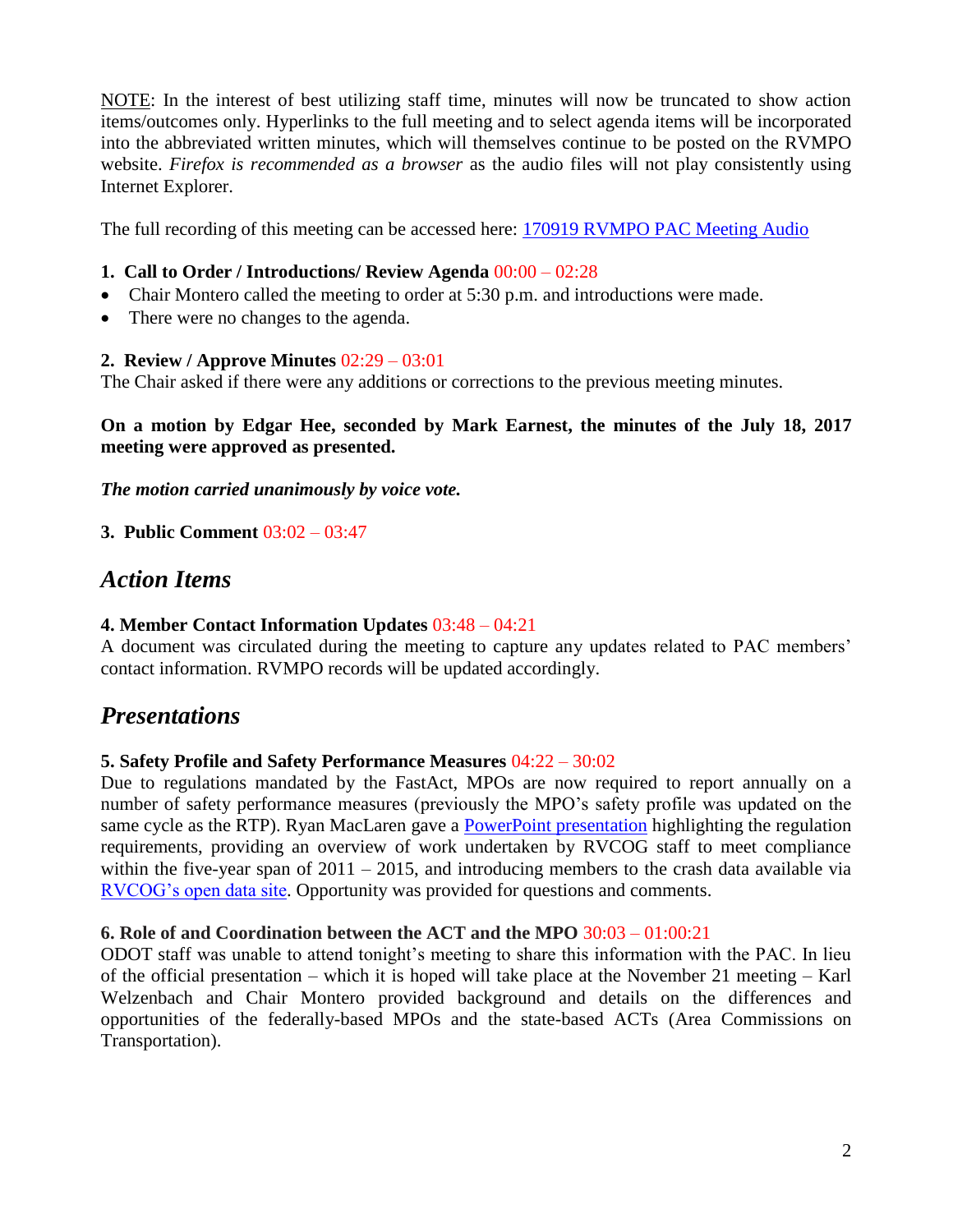NOTE: In the interest of best utilizing staff time, minutes will now be truncated to show action items/outcomes only. Hyperlinks to the full meeting and to select agenda items will be incorporated into the abbreviated written minutes, which will themselves continue to be posted on the RVMPO website. *Firefox is recommended as a browser* as the audio files will not play consistently using Internet Explorer.

The full recording of this meeting can be accessed here: [170919 RVMPO PAC Meeting Audio](https://www.rvmpo.org/images/committees/public-advisory-council/2017/Audio_Files/2017-09-19_RVMPO%20PAC_Audio%20File_C.MP3)

### **1. Call to Order / Introductions/ Review Agenda** 00:00 – 02:28

- Chair Montero called the meeting to order at 5:30 p.m. and introductions were made.
- There were no changes to the agenda.

#### **2. Review / Approve Minutes** 02:29 – 03:01

The Chair asked if there were any additions or corrections to the previous meeting minutes.

**On a motion by Edgar Hee, seconded by Mark Earnest, the minutes of the July 18, 2017 meeting were approved as presented.**

*The motion carried unanimously by voice vote.*

**3. Public Comment** 03:02 – 03:47

# *Action Items*

### **4. Member Contact Information Updates** 03:48 – 04:21

A document was circulated during the meeting to capture any updates related to PAC members' contact information. RVMPO records will be updated accordingly.

# *Presentations*

#### **5. Safety Profile and Safety Performance Measures** 04:22 – 30:02

Due to regulations mandated by the FastAct, MPOs are now required to report annually on a number of safety performance measures (previously the MPO's safety profile was updated on the same cycle as the RTP). Ryan MacLaren gave a **PowerPoint presentation** highlighting the regulation requirements, providing an overview of work undertaken by RVCOG staff to meet compliance within the five-year span of  $2011 - 2015$ , and introducing members to the crash data available via [RVCOG's open data site.](http://data-rvcog.opendata.arcgis.com/) Opportunity was provided for questions and comments.

#### **6. Role of and Coordination between the ACT and the MPO** 30:03 – 01:00:21

ODOT staff was unable to attend tonight's meeting to share this information with the PAC. In lieu of the official presentation – which it is hoped will take place at the November 21 meeting – Karl Welzenbach and Chair Montero provided background and details on the differences and opportunities of the federally-based MPOs and the state-based ACTs (Area Commissions on Transportation).